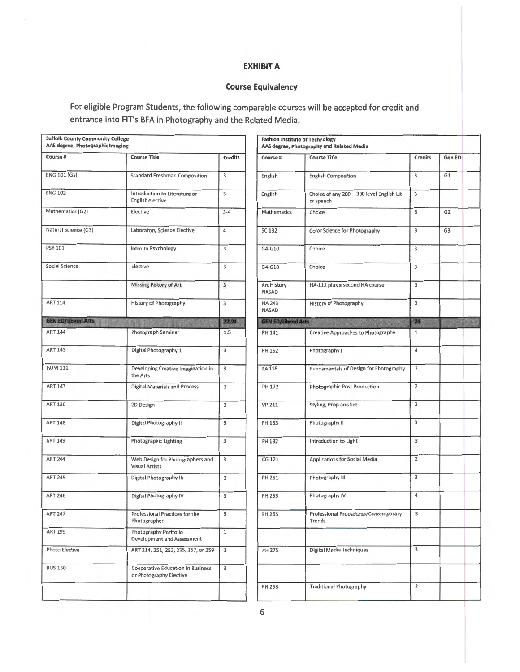## **EXHIBIT A**

## **Course Equivalency**

For eligible Program Students, the following comparable courses will be accepted for credit and entrance into FIT's BFA in Photography and the Related Media.

| <b>Suffolk County Community College</b><br>AAS degree, Photographic Imaging |                                                                     |                | <b>Fashion Institute of Technology</b><br>AAS degree, Photography and Related Media |                                                        |                         |  |
|-----------------------------------------------------------------------------|---------------------------------------------------------------------|----------------|-------------------------------------------------------------------------------------|--------------------------------------------------------|-------------------------|--|
| Course #                                                                    | <b>Course Title</b>                                                 | <b>Credits</b> | Course #                                                                            | <b>Course Title</b>                                    | <b>Credits</b>          |  |
| ENG 101 (G1)                                                                | <b>Standard Freshman Composition</b>                                | 3              | English                                                                             | <b>English Composition</b>                             | 3                       |  |
| <b>ENG 102</b>                                                              | Introduction to Literature or<br>English elective                   | 3              | English                                                                             | Choice of any 200 - 300 level English Lit<br>or speech | 3                       |  |
| Mathematics (G2)                                                            | Elective                                                            | $3 - 4$        | <b>Mathematics</b>                                                                  | Choice                                                 | 3                       |  |
| Natural Science (G3)                                                        | <b>Laboratory Science Elective</b>                                  | 4              | SC 132                                                                              | Color Science for Photography                          | $\overline{\mathbf{3}}$ |  |
| <b>PSY 101</b>                                                              | Intro to Psychology                                                 | 3              | G4-G10                                                                              | Choice                                                 | $\overline{3}$          |  |
| Social Science                                                              | Elective                                                            | 3              | G4-G10                                                                              | Choice                                                 | 3                       |  |
|                                                                             | <b>Missing History of Art</b>                                       | 3              | <b>Art History</b><br><b>NASAD</b>                                                  | HA-112 plus a second HA course                         | 3                       |  |
| <b>ART 114</b>                                                              | History of Photography                                              | 3              | <b>HA 243</b><br><b>NASAD</b>                                                       | <b>History of Photography</b>                          | $\overline{3}$          |  |
| <b>GEN ED/Liberal Arts</b>                                                  |                                                                     | $22 - 23$      | <b>GEN ED/Liberal Arts</b>                                                          |                                                        | 24                      |  |
| <b>ART 144</b>                                                              | Photograph Seminar                                                  | 1.5            | <b>PH 141</b>                                                                       | Creative Approaches to Photography                     | $\mathbf{1}$            |  |
| <b>ART 145</b>                                                              | Digital Photography 1                                               | 3              | <b>PH 152</b>                                                                       | Photography I                                          | 4                       |  |
| <b>HUM 121</b>                                                              | Developing Creative Imagination in<br>the Arts                      | 3              | <b>FA 118</b>                                                                       | Fundamentals of Design for Photography                 | $\overline{2}$          |  |
| <b>ART 147</b>                                                              | <b>Digital Materials and Process</b>                                | 3              | PH 172                                                                              | Photographic Post Production                           | $\overline{2}$          |  |
| <b>ART 130</b>                                                              | 2D Design                                                           | 3              | <b>VP 211</b>                                                                       | Styling, Prop and Set                                  | $\overline{2}$          |  |
| <b>ART 146</b>                                                              | Digital Photography II                                              | 3              | <b>PH 153</b>                                                                       | Photography II                                         | 3                       |  |
| <b>ART 149</b>                                                              | Photographic Lighting                                               | $\overline{3}$ | PH 132                                                                              | Introduction to Light                                  | 3                       |  |
| <b>ART 244</b>                                                              | Web Design for Photographers and<br><b>Visual Artists</b>           | $\overline{3}$ | CG 121                                                                              | <b>Applications for Social Media</b>                   | $\overline{2}$          |  |
| <b>ART 245</b>                                                              | Digital Photography III                                             | $\overline{3}$ | PH 251                                                                              | Photography III                                        | 3                       |  |
| <b>ART 246</b>                                                              | Digital Photography IV                                              | 3              | PH 253                                                                              | Photography IV                                         | 4                       |  |
| <b>ART 247</b>                                                              | Professional Practices for the<br>Photographer                      | 3              | <b>PH 265</b>                                                                       | Professional Proceduras/ContampOrary<br>Trends         | 3                       |  |
| <b>ART 299</b>                                                              | Photography Portfolio<br><b>Development and Assessment</b>          | $\mathbf{1}$   |                                                                                     |                                                        |                         |  |
| Photo Elective                                                              | ART 214, 251, 252, 255, 257, or 259                                 | $\overline{3}$ | <b>PH. 275</b>                                                                      | <b>Digital Media Techniques</b>                        | $\overline{\mathbf{3}}$ |  |
| <b>BUS 150</b>                                                              | <b>Cooperative Education in Business</b><br>or Photography Elective | 3              |                                                                                     |                                                        |                         |  |
|                                                                             |                                                                     |                |                                                                                     |                                                        |                         |  |

| <b>Suffolk County Community College</b><br>AAS degree, Photographic Imaging |                                                                     |                         | <b>Fashion Institute of Technology</b> | AAS degree, Photography and Related Media              |                         |                    |
|-----------------------------------------------------------------------------|---------------------------------------------------------------------|-------------------------|----------------------------------------|--------------------------------------------------------|-------------------------|--------------------|
| Course #                                                                    | <b>Course Title</b>                                                 | <b>Credits</b>          | Course #                               | <b>Course Title</b>                                    | <b>Credits</b>          | Gen E <sub>D</sub> |
| ENG 101 (G1)                                                                | <b>Standard Freshman Composition</b>                                | 3                       | English                                | <b>English Composition</b>                             | 3                       | G1                 |
| <b>ENG 102</b>                                                              | Introduction to Literature or<br>English elective                   | 3                       | English                                | Choice of any 200 - 300 level English Lit<br>or speech | 3                       |                    |
| Mathematics (G2)                                                            | Elective                                                            | $3 - 4$                 | Mathematics                            | Choice                                                 | 3                       | G <sub>2</sub>     |
| Natural Science (G3)                                                        | <b>Laboratory Science Elective</b>                                  | 4                       | SC 132                                 | Color Science for Photography                          | 3                       | G3                 |
| <b>PSY 101</b>                                                              | Intro to Psychology                                                 | 3                       | G4-G10                                 | Choice                                                 | 3                       |                    |
| Social Science                                                              | Elective                                                            | 3                       | G4-G10                                 | Choice                                                 | 3                       |                    |
|                                                                             | Missing History of Art                                              | $\overline{\mathbf{3}}$ | <b>Art History</b><br><b>NASAD</b>     | HA-112 plus a second HA course                         | $\overline{\mathbf{3}}$ |                    |
| <b>ART 114</b>                                                              | History of Photography                                              | 3                       | <b>HA 243</b><br><b>NASAD</b>          | <b>History of Photography</b>                          | 3                       |                    |
| <b>GEN ED/Liberal Arts</b>                                                  |                                                                     | $22 - 23$               | <b>GEN ED/Liberal Arts</b>             |                                                        | $-24$                   |                    |
| <b>ART 144</b>                                                              | Photograph Seminar                                                  | 1.5                     | PH 141                                 | Creative Approaches to Photography                     | 1                       |                    |
| <b>ART 145</b>                                                              | Digital Photography 1                                               | 3                       | <b>PH 152</b>                          | Photography I                                          | $\overline{4}$          |                    |
| <b>HUM 121</b>                                                              | Developing Creative Imagination in<br>the Arts                      | 3                       | <b>FA 118</b>                          | Fundamentals of Design for Photography                 | $\overline{2}$          |                    |
| <b>ART 147</b>                                                              | <b>Digital Materials and Process</b>                                | 3                       | <b>PH 172</b>                          | Photographic Post Production                           | $\overline{2}$          |                    |
| <b>ART 130</b>                                                              | 2D Design                                                           | 3                       | <b>VP 211</b>                          | Styling, Prop and Set                                  | $\overline{2}$          |                    |
| <b>ART 146</b>                                                              | Digital Photography II                                              | 3                       | <b>PH 153</b>                          | Photography II                                         | 3                       |                    |
| <b>ART 149</b>                                                              | Photographic Lighting                                               | 3                       | <b>PH 132</b>                          | Introduction to Light                                  | 3                       |                    |
| <b>ART 244</b>                                                              | Web Design for Photographers and<br><b>Visual Artists</b>           | 3                       | CG 121                                 | <b>Applications for Social Media</b>                   | $\overline{2}$          |                    |
| <b>ART 245</b>                                                              | Digital Photography III                                             | 3                       | PH 251                                 | Photography III                                        | 3                       |                    |
| <b>ART 246</b>                                                              | Digital Photography IV                                              | 3                       | PH 253                                 | Photography IV                                         | 4                       |                    |
| <b>ART 247</b>                                                              | Professional Practices for the<br>Photographer                      | 3                       | PH 265                                 | Professional Proceduras/Contamporary<br>Trends         | $\overline{3}$          |                    |
| <b>ART 299</b>                                                              | Photography Portfolio<br><b>Development and Assessment</b>          | $\mathbf 1$             |                                        |                                                        |                         |                    |
| Photo Elective                                                              | ART 214, 251, 252, 255, 257, or 259                                 | 3                       | <b>PH. 275</b>                         | <b>Digital Media Techniques</b>                        | $\overline{\mathbf{3}}$ |                    |
| <b>BUS 150</b>                                                              | <b>Cooperative Education in Business</b><br>or Photography Elective | 3                       |                                        |                                                        |                         |                    |
|                                                                             |                                                                     |                         | PH 253                                 | <b>Traditional Photography</b>                         | $\overline{2}$          |                    |